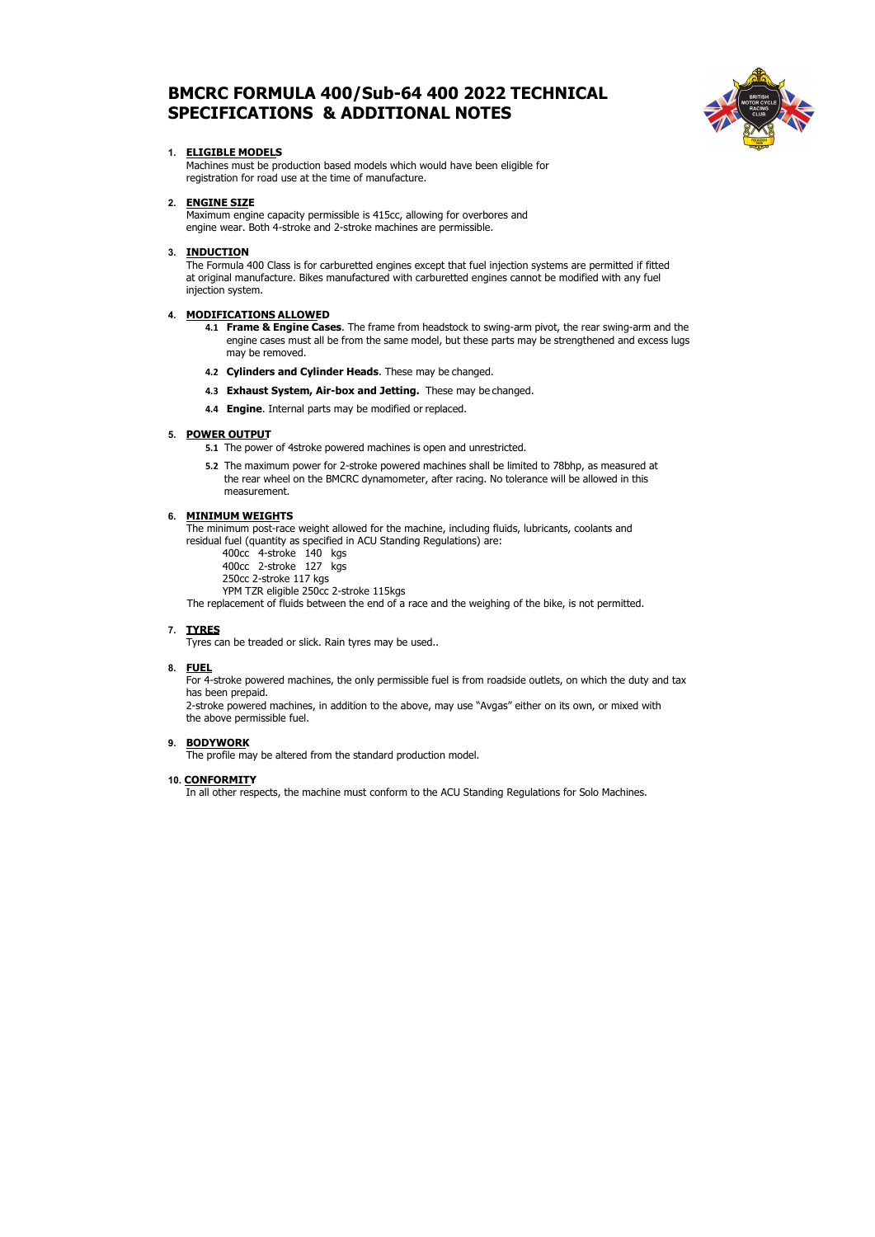# **BMCRC FORMULA 400/Sub-64 400 2022 TECHNICAL SPECIFICATIONS & ADDITIONAL NOTES**



# **1. ELIGIBLE MODELS**

Machines must be production based models which would have been eligible for registration for road use at the time of manufacture.

## **2. ENGINE SIZE**

Maximum engine capacity permissible is 415cc, allowing for overbores and engine wear. Both 4-stroke and 2-stroke machines are permissible.

# **3. INDUCTION**

The Formula 400 Class is for carburetted engines except that fuel injection systems are permitted if fitted at original manufacture. Bikes manufactured with carburetted engines cannot be modified with any fuel injection system.

## **4. MODIFICATIONS ALLOWED**

- **4.1 Frame & Engine Cases**. The frame from headstock to swing-arm pivot, the rear swing-arm and the engine cases must all be from the same model, but these parts may be strengthened and excess lugs may be removed.
- **4.2 Cylinders and Cylinder Heads**. These may be changed.
- **4.3 Exhaust System, Air-box and Jetting.** These may be changed.
- **4.4 Engine**. Internal parts may be modified or replaced.

## **5. POWER OUTPUT**

- **5.1** The power of 4stroke powered machines is open and unrestricted.
- **5.2** The maximum power for 2-stroke powered machines shall be limited to 78bhp, as measured at the rear wheel on the BMCRC dynamometer, after racing. No tolerance will be allowed in this measurement.

## **6. MINIMUM WEIGHTS**

The minimum post-race weight allowed for the machine, including fluids, lubricants, coolants and residual fuel (quantity as specified in ACU Standing Regulations) are:

400cc 4-stroke 140 kgs

- 400cc 2-stroke 127 kgs
- 250cc 2-stroke 117 kgs

YPM TZR eligible 250cc 2-stroke 115kgs

The replacement of fluids between the end of a race and the weighing of the bike, is not permitted.

## **7. TYRES**

Tyres can be treaded or slick. Rain tyres may be used..

## **8. FUEL**

For 4-stroke powered machines, the only permissible fuel is from roadside outlets, on which the duty and tax has been prepaid.

2-stroke powered machines, in addition to the above, may use "Avgas" either on its own, or mixed with the above permissible fuel.

# **9. BODYWORK**

The profile may be altered from the standard production model.

## **10. CONFORMITY**

In all other respects, the machine must conform to the ACU Standing Regulations for Solo Machines.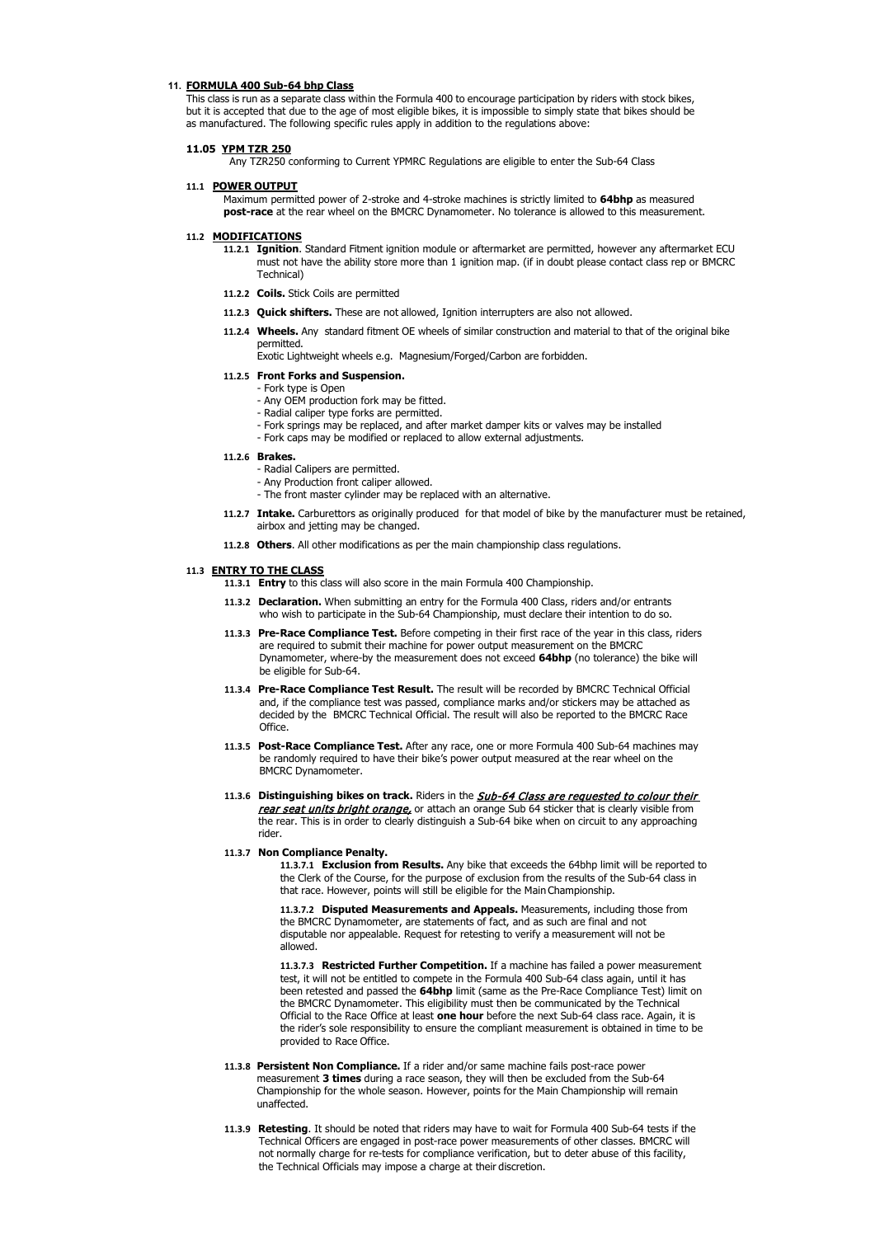#### **11. FORMULA 400 Sub-64 bhp Class**

This class is run as a separate class within the Formula 400 to encourage participation by riders with stock bikes, but it is accepted that due to the age of most eligible bikes, it is impossible to simply state that bikes should be as manufactured. The following specific rules apply in addition to the regulations above:

#### **11.05 YPM TZR 250**

Any TZR250 conforming to Current YPMRC Regulations are eligible to enter the Sub-64 Class

#### **11.1 POWER OUTPUT**

Maximum permitted power of 2-stroke and 4-stroke machines is strictly limited to **64bhp** as measured **post-race** at the rear wheel on the BMCRC Dynamometer. No tolerance is allowed to this measurement.

## **11.2 MODIFICATIONS**

- **11.2.1 Ignition**. Standard Fitment ignition module or aftermarket are permitted, however any aftermarket ECU must not have the ability store more than 1 ignition map. (if in doubt please contact class rep or BMCRC Technical)
- **11.2.2 Coils.** Stick Coils are permitted
- **11.2.3 Quick shifters.** These are not allowed, Ignition interrupters are also not allowed.
- **11.2.4 Wheels.** Any standard fitment OE wheels of similar construction and material to that of the original bike permitted.

Exotic Lightweight wheels e.g. Magnesium/Forged/Carbon are forbidden.

#### **11.2.5 Front Forks and Suspension.**

- Fork type is Open
- Any OEM production fork may be fitted.
- Radial caliper type forks are permitted.
- Fork springs may be replaced, and after market damper kits or valves may be installed
- Fork caps may be modified or replaced to allow external adjustments.
- **11.2.6 Brakes.** 
	- Radial Calipers are permitted.
	- Any Production front caliper allowed.
	- The front master cylinder may be replaced with an alternative.
- **11.2.7 Intake.** Carburettors as originally produced for that model of bike by the manufacturer must be retained, airbox and jetting may be changed.
- **11.2.8 Others**. All other modifications as per the main championship class regulations.

#### **11.3 ENTRY TO THE CLASS**

- **11.3.1 Entry** to this class will also score in the main Formula 400 Championship.
- **11.3.2 Declaration.** When submitting an entry for the Formula 400 Class, riders and/or entrants who wish to participate in the Sub-64 Championship, must declare their intention to do so.
- **11.3.3 Pre-Race Compliance Test.** Before competing in their first race of the year in this class, riders are required to submit their machine for power output measurement on the BMCRC Dynamometer, where-by the measurement does not exceed **64bhp** (no tolerance) the bike will be eligible for Sub-64.
- **11.3.4 Pre-Race Compliance Test Result.** The result will be recorded by BMCRC Technical Official and, if the compliance test was passed, compliance marks and/or stickers may be attached as decided by the BMCRC Technical Official. The result will also be reported to the BMCRC Race Office.
- **11.3.5 Post-Race Compliance Test.** After any race, one or more Formula 400 Sub-64 machines may be randomly required to have their bike's power output measured at the rear wheel on the BMCRC Dynamometer.
- **11.3.6 Distinguishing bikes on track.** Riders in the Sub-64 Class are requested to colour their rear seat units bright orange, or attach an orange Sub 64 sticker that is clearly visible from the rear. This is in order to clearly distinguish a Sub-64 bike when on circuit to any approaching rider.

#### **11.3.7 Non Compliance Penalty.**

**11.3.7.1 Exclusion from Results.** Any bike that exceeds the 64bhp limit will be reported to the Clerk of the Course, for the purpose of exclusion from the results of the Sub-64 class in that race. However, points will still be eligible for the MainChampionship.

**11.3.7.2 Disputed Measurements and Appeals.** Measurements, including those from the BMCRC Dynamometer, are statements of fact, and as such are final and not disputable nor appealable. Request for retesting to verify a measurement allowed.

**11.3.7.3 Restricted Further Competition.** If a machine has failed a power measurement test, it will not be entitled to compete in the Formula 400 Sub-64 class again, until it has been retested and passed the **64bhp** limit (same as the Pre-Race Compliance Test) limit on the BMCRC Dynamometer. This eligibility must then be communicated by the Technical Official to the Race Office at least **one hour** before the next Sub-64 class race. Again, it is the rider's sole responsibility to ensure the compliant measurement is obtained in time to be provided to Race Office.

- **11.3.8 Persistent Non Compliance.** If a rider and/or same machine fails post-race power measurement **3 times** during a race season, they will then be excluded from the Sub-64 Championship for the whole season. However, points for the Main Championship will remain unaffected.
- **11.3.9 Retesting**. It should be noted that riders may have to wait for Formula 400 Sub-64 tests if the Technical Officers are engaged in post-race power measurements of other classes. BMCRC will not normally charge for re-tests for compliance verification, but to deter abuse of this facility, the Technical Officials may impose a charge at their discretion.